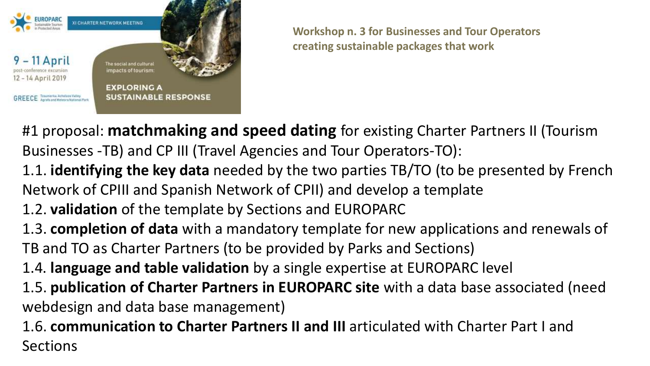

#1 proposal: **matchmaking and speed dating** for existing Charter Partners II (Tourism Businesses -TB) and CP III (Travel Agencies and Tour Operators-TO):

- 1.1. **identifying the key data** needed by the two parties TB/TO (to be presented by French Network of CPIII and Spanish Network of CPII) and develop a template
- 1.2. **validation** of the template by Sections and EUROPARC

1.3. **completion of data** with a mandatory template for new applications and renewals of TB and TO as Charter Partners (to be provided by Parks and Sections)

1.4. **language and table validation** by a single expertise at EUROPARC level

1.5. **publication of Charter Partners in EUROPARC site** with a data base associated (need webdesign and data base management)

1.6. **communication to Charter Partners II and III** articulated with Charter Part I and Sections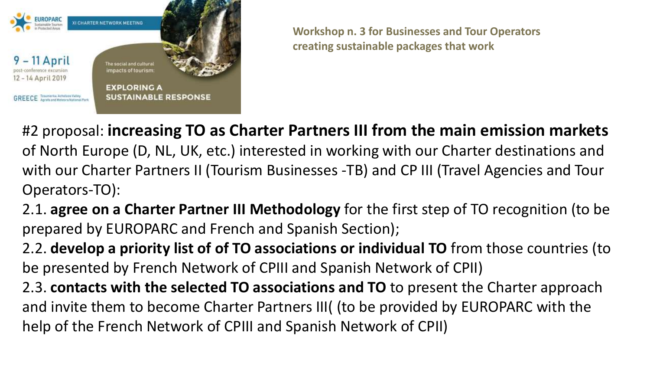

#2 proposal: **increasing TO as Charter Partners III from the main emission markets**  of North Europe (D, NL, UK, etc.) interested in working with our Charter destinations and with our Charter Partners II (Tourism Businesses -TB) and CP III (Travel Agencies and Tour Operators-TO):

2.1. **agree on a Charter Partner III Methodology** for the first step of TO recognition (to be prepared by EUROPARC and French and Spanish Section);

2.2. **develop a priority list of of TO associations or individual TO** from those countries (to be presented by French Network of CPIII and Spanish Network of CPII)

2.3. **contacts with the selected TO associations and TO** to present the Charter approach and invite them to become Charter Partners III( (to be provided by EUROPARC with the help of the French Network of CPIII and Spanish Network of CPII)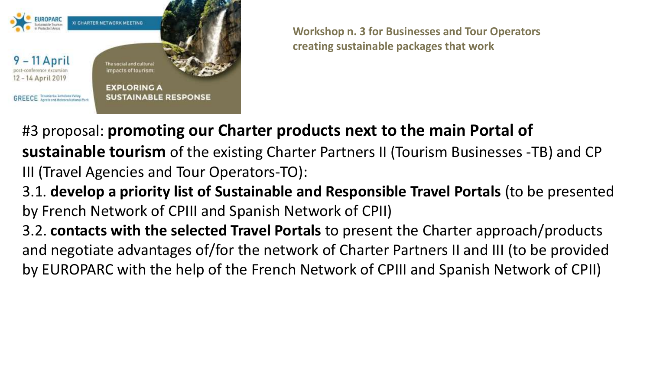

#3 proposal: **promoting our Charter products next to the main Portal of sustainable tourism** of the existing Charter Partners II (Tourism Businesses -TB) and CP III (Travel Agencies and Tour Operators-TO):

3.1. **develop a priority list of Sustainable and Responsible Travel Portals** (to be presented by French Network of CPIII and Spanish Network of CPII)

3.2. **contacts with the selected Travel Portals** to present the Charter approach/products and negotiate advantages of/for the network of Charter Partners II and III (to be provided by EUROPARC with the help of the French Network of CPIII and Spanish Network of CPII)